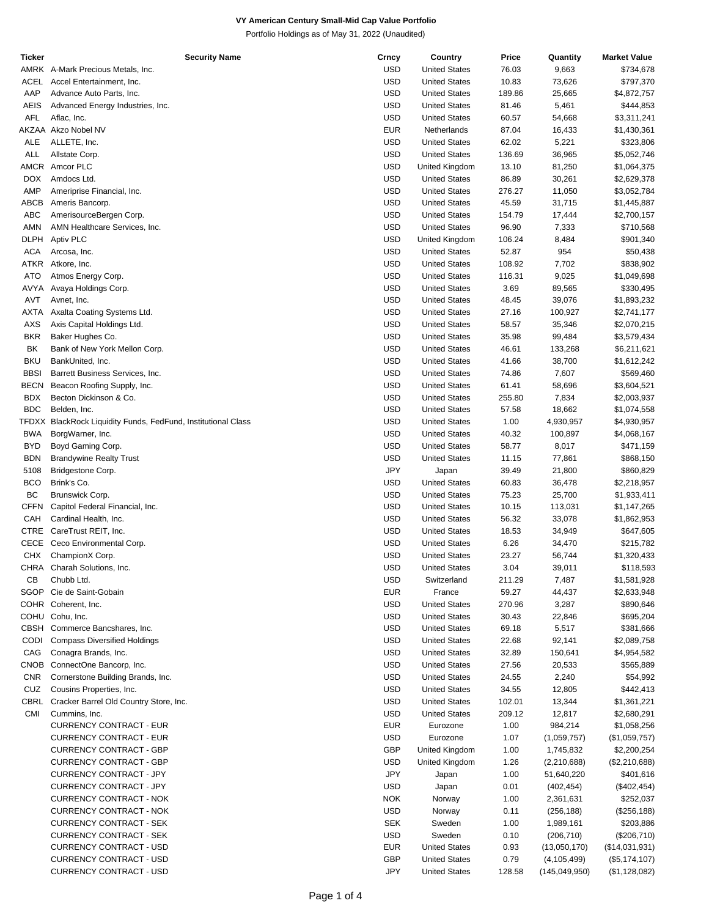Portfolio Holdings as of May 31, 2022 (Unaudited)

| Ticker      | <b>Security Name</b>                                          | Crncy      | Country              | Price  | Quantity        | <b>Market Value</b> |
|-------------|---------------------------------------------------------------|------------|----------------------|--------|-----------------|---------------------|
|             | AMRK A-Mark Precious Metals, Inc.                             | <b>USD</b> | <b>United States</b> | 76.03  | 9,663           | \$734,678           |
| ACEL        | Accel Entertainment, Inc.                                     | <b>USD</b> | <b>United States</b> | 10.83  | 73,626          | \$797,370           |
| AAP         | Advance Auto Parts, Inc.                                      | <b>USD</b> | <b>United States</b> | 189.86 | 25,665          | \$4,872,757         |
| <b>AEIS</b> | Advanced Energy Industries, Inc.                              | <b>USD</b> | <b>United States</b> | 81.46  | 5,461           | \$444,853           |
|             |                                                               |            |                      |        |                 |                     |
| AFL         | Aflac, Inc.                                                   | <b>USD</b> | <b>United States</b> | 60.57  | 54,668          | \$3,311,241         |
|             | AKZAA Akzo Nobel NV                                           | <b>EUR</b> | Netherlands          | 87.04  | 16,433          | \$1,430,361         |
| <b>ALE</b>  | ALLETE, Inc.                                                  | <b>USD</b> | <b>United States</b> | 62.02  | 5,221           | \$323,806           |
| ALL         | Allstate Corp.                                                | <b>USD</b> | <b>United States</b> | 136.69 | 36,965          | \$5,052,746         |
|             | AMCR Amcor PLC                                                | <b>USD</b> | United Kingdom       | 13.10  | 81,250          | \$1,064,375         |
| <b>DOX</b>  | Amdocs Ltd.                                                   | <b>USD</b> | <b>United States</b> | 86.89  | 30,261          | \$2,629,378         |
| AMP         | Ameriprise Financial, Inc.                                    | <b>USD</b> | <b>United States</b> | 276.27 | 11,050          | \$3,052,784         |
| ABCB        | Ameris Bancorp.                                               | <b>USD</b> | <b>United States</b> | 45.59  |                 |                     |
|             |                                                               |            |                      |        | 31,715          | \$1,445,887         |
| ABC         | AmerisourceBergen Corp.                                       | <b>USD</b> | <b>United States</b> | 154.79 | 17,444          | \$2,700,157         |
| <b>AMN</b>  | AMN Healthcare Services, Inc.                                 | <b>USD</b> | <b>United States</b> | 96.90  | 7,333           | \$710,568           |
| <b>DLPH</b> | Aptiv PLC                                                     | <b>USD</b> | United Kingdom       | 106.24 | 8,484           | \$901,340           |
| ACA         | Arcosa, Inc.                                                  | <b>USD</b> | <b>United States</b> | 52.87  | 954             | \$50,438            |
| <b>ATKR</b> | Atkore, Inc.                                                  | <b>USD</b> | <b>United States</b> | 108.92 | 7,702           | \$838,902           |
| ATO         | Atmos Energy Corp.                                            | <b>USD</b> | <b>United States</b> | 116.31 | 9,025           | \$1,049,698         |
|             |                                                               |            |                      |        |                 |                     |
| AVYA        | Avaya Holdings Corp.                                          | <b>USD</b> | <b>United States</b> | 3.69   | 89,565          | \$330,495           |
| AVT         | Avnet, Inc.                                                   | <b>USD</b> | <b>United States</b> | 48.45  | 39,076          | \$1,893,232         |
| AXTA        | Axalta Coating Systems Ltd.                                   | <b>USD</b> | <b>United States</b> | 27.16  | 100,927         | \$2,741,177         |
| AXS         | Axis Capital Holdings Ltd.                                    | <b>USD</b> | <b>United States</b> | 58.57  | 35,346          | \$2,070,215         |
| <b>BKR</b>  | Baker Hughes Co.                                              | <b>USD</b> | <b>United States</b> | 35.98  | 99,484          | \$3,579,434         |
| ВK          | Bank of New York Mellon Corp.                                 | <b>USD</b> | <b>United States</b> | 46.61  | 133,268         | \$6,211,621         |
| <b>BKU</b>  | BankUnited, Inc.                                              | <b>USD</b> | <b>United States</b> | 41.66  | 38,700          | \$1,612,242         |
|             |                                                               |            |                      |        |                 |                     |
| <b>BBSI</b> | Barrett Business Services, Inc.                               | <b>USD</b> | <b>United States</b> | 74.86  | 7,607           | \$569,460           |
| <b>BECN</b> | Beacon Roofing Supply, Inc.                                   | <b>USD</b> | <b>United States</b> | 61.41  | 58,696          | \$3,604,521         |
| <b>BDX</b>  | Becton Dickinson & Co.                                        | <b>USD</b> | <b>United States</b> | 255.80 | 7,834           | \$2,003,937         |
| <b>BDC</b>  | Belden, Inc.                                                  | <b>USD</b> | <b>United States</b> | 57.58  | 18,662          | \$1,074,558         |
|             | TFDXX BlackRock Liquidity Funds, FedFund, Institutional Class | <b>USD</b> | <b>United States</b> | 1.00   | 4,930,957       | \$4,930,957         |
| <b>BWA</b>  | BorgWarner, Inc.                                              | <b>USD</b> | <b>United States</b> | 40.32  | 100,897         | \$4,068,167         |
| <b>BYD</b>  | Boyd Gaming Corp.                                             | <b>USD</b> | <b>United States</b> | 58.77  | 8,017           | \$471,159           |
|             |                                                               |            |                      |        |                 |                     |
| <b>BDN</b>  | <b>Brandywine Realty Trust</b>                                | <b>USD</b> | <b>United States</b> | 11.15  | 77,861          | \$868,150           |
| 5108        | Bridgestone Corp.                                             | JPY        | Japan                | 39.49  | 21,800          | \$860,829           |
| <b>BCO</b>  | Brink's Co.                                                   | <b>USD</b> | <b>United States</b> | 60.83  | 36,478          | \$2,218,957         |
| BC          | Brunswick Corp.                                               | <b>USD</b> | <b>United States</b> | 75.23  | 25,700          | \$1,933,411         |
| <b>CFFN</b> | Capitol Federal Financial, Inc.                               | <b>USD</b> | <b>United States</b> | 10.15  | 113,031         | \$1,147,265         |
| CAH         | Cardinal Health, Inc.                                         | <b>USD</b> | <b>United States</b> | 56.32  | 33,078          | \$1,862,953         |
| <b>CTRE</b> | CareTrust REIT, Inc.                                          | <b>USD</b> | <b>United States</b> | 18.53  | 34,949          | \$647,605           |
|             |                                                               |            |                      |        |                 |                     |
| CECE        | Ceco Environmental Corp.                                      | <b>USD</b> | <b>United States</b> | 6.26   | 34,470          | \$215,782           |
| <b>CHX</b>  | ChampionX Corp.                                               | <b>USD</b> | <b>United States</b> | 23.27  | 56,744          | \$1,320,433         |
|             | CHRA Charah Solutions, Inc.                                   | <b>USD</b> | <b>United States</b> | 3.04   | 39,011          | \$118,593           |
| CВ          | Chubb Ltd.                                                    | <b>USD</b> | Switzerland          | 211.29 | 7,487           | \$1,581,928         |
| SGOP        | Cie de Saint-Gobain                                           | <b>EUR</b> | France               | 59.27  | 44,437          | \$2,633,948         |
|             | COHR Coherent, Inc.                                           | <b>USD</b> | <b>United States</b> | 270.96 | 3,287           | \$890,646           |
|             | COHU Cohu, Inc.                                               | <b>USD</b> | <b>United States</b> | 30.43  | 22,846          | \$695,204           |
|             |                                                               |            |                      |        |                 |                     |
| <b>CBSH</b> | Commerce Bancshares, Inc.                                     | <b>USD</b> | <b>United States</b> | 69.18  | 5,517           | \$381,666           |
| CODI        | <b>Compass Diversified Holdings</b>                           | <b>USD</b> | <b>United States</b> | 22.68  | 92,141          | \$2,089,758         |
| CAG         | Conagra Brands, Inc.                                          | <b>USD</b> | <b>United States</b> | 32.89  | 150,641         | \$4,954,582         |
| <b>CNOB</b> | ConnectOne Bancorp, Inc.                                      | <b>USD</b> | <b>United States</b> | 27.56  | 20,533          | \$565,889           |
| <b>CNR</b>  | Cornerstone Building Brands, Inc.                             | <b>USD</b> | <b>United States</b> | 24.55  | 2,240           | \$54,992            |
| CUZ         | Cousins Properties, Inc.                                      | <b>USD</b> | <b>United States</b> | 34.55  | 12,805          | \$442,413           |
| CBRL        | Cracker Barrel Old Country Store, Inc.                        | <b>USD</b> | <b>United States</b> | 102.01 | 13,344          | \$1,361,221         |
|             |                                                               |            |                      |        |                 |                     |
| CMI         | Cummins, Inc.                                                 | <b>USD</b> | <b>United States</b> | 209.12 | 12,817          | \$2,680,291         |
|             | <b>CURRENCY CONTRACT - EUR</b>                                | <b>EUR</b> | Eurozone             | 1.00   | 984,214         | \$1,058,256         |
|             | <b>CURRENCY CONTRACT - EUR</b>                                | <b>USD</b> | Eurozone             | 1.07   | (1,059,757)     | (\$1,059,757)       |
|             | <b>CURRENCY CONTRACT - GBP</b>                                | <b>GBP</b> | United Kingdom       | 1.00   | 1,745,832       | \$2,200,254         |
|             | <b>CURRENCY CONTRACT - GBP</b>                                | <b>USD</b> | United Kingdom       | 1.26   | (2,210,688)     | (\$2,210,688)       |
|             | <b>CURRENCY CONTRACT - JPY</b>                                | JPY        | Japan                | 1.00   | 51,640,220      | \$401,616           |
|             | <b>CURRENCY CONTRACT - JPY</b>                                | <b>USD</b> |                      | 0.01   | (402, 454)      | (\$402,454)         |
|             |                                                               |            | Japan                |        |                 |                     |
|             | <b>CURRENCY CONTRACT - NOK</b>                                | <b>NOK</b> | Norway               | 1.00   | 2,361,631       | \$252,037           |
|             | <b>CURRENCY CONTRACT - NOK</b>                                | <b>USD</b> | Norway               | 0.11   | (256, 188)      | (\$256, 188)        |
|             | <b>CURRENCY CONTRACT - SEK</b>                                | <b>SEK</b> | Sweden               | 1.00   | 1,989,161       | \$203,886           |
|             | <b>CURRENCY CONTRACT - SEK</b>                                | <b>USD</b> | Sweden               | 0.10   | (206, 710)      | (\$206,710)         |
|             | <b>CURRENCY CONTRACT - USD</b>                                | <b>EUR</b> | <b>United States</b> | 0.93   | (13,050,170)    | (\$14,031,931)      |
|             | <b>CURRENCY CONTRACT - USD</b>                                | <b>GBP</b> | <b>United States</b> | 0.79   | (4, 105, 499)   | (\$5,174,107)       |
|             | <b>CURRENCY CONTRACT - USD</b>                                | JPY        | <b>United States</b> |        |                 | (\$1,128,082)       |
|             |                                                               |            |                      | 128.58 | (145, 049, 950) |                     |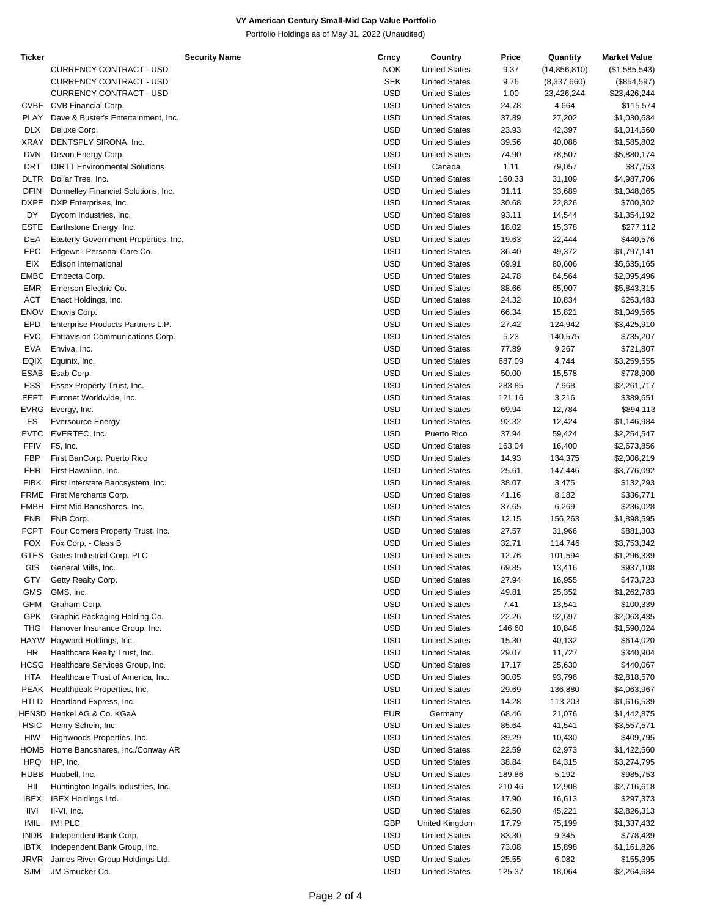Portfolio Holdings as of May 31, 2022 (Unaudited)

| <b>Ticker</b> |                                      | <b>Security Name</b> | Crncy      | Country              | Price  | Quantity       | <b>Market Value</b> |
|---------------|--------------------------------------|----------------------|------------|----------------------|--------|----------------|---------------------|
|               | <b>CURRENCY CONTRACT - USD</b>       |                      | <b>NOK</b> | <b>United States</b> | 9.37   | (14, 856, 810) | (\$1,585,543)       |
|               | <b>CURRENCY CONTRACT - USD</b>       |                      | <b>SEK</b> | <b>United States</b> | 9.76   | (8,337,660)    | $(\$854,597)$       |
|               | <b>CURRENCY CONTRACT - USD</b>       |                      | <b>USD</b> | <b>United States</b> | 1.00   | 23,426,244     | \$23,426,244        |
| <b>CVBF</b>   | CVB Financial Corp.                  |                      | <b>USD</b> | <b>United States</b> | 24.78  | 4,664          | \$115,574           |
| PLAY          | Dave & Buster's Entertainment, Inc.  |                      | <b>USD</b> | <b>United States</b> | 37.89  | 27,202         | \$1,030,684         |
| <b>DLX</b>    | Deluxe Corp.                         |                      | <b>USD</b> | <b>United States</b> | 23.93  | 42,397         | \$1,014,560         |
| XRAY          | DENTSPLY SIRONA, Inc.                |                      | <b>USD</b> | <b>United States</b> | 39.56  | 40,086         | \$1,585,802         |
| <b>DVN</b>    | Devon Energy Corp.                   |                      | <b>USD</b> | <b>United States</b> | 74.90  | 78,507         | \$5,880,174         |
| <b>DRT</b>    | <b>DIRTT Environmental Solutions</b> |                      | <b>USD</b> | Canada               | 1.11   | 79,057         | \$87,753            |
|               |                                      |                      |            |                      |        |                |                     |
| <b>DLTR</b>   | Dollar Tree, Inc.                    |                      | USD        | <b>United States</b> | 160.33 | 31,109         | \$4,987,706         |
| <b>DFIN</b>   | Donnelley Financial Solutions, Inc.  |                      | <b>USD</b> | <b>United States</b> | 31.11  | 33,689         | \$1,048,065         |
| <b>DXPE</b>   | DXP Enterprises, Inc.                |                      | <b>USD</b> | <b>United States</b> | 30.68  | 22,826         | \$700,302           |
| DY            | Dycom Industries, Inc.               |                      | <b>USD</b> | <b>United States</b> | 93.11  | 14,544         | \$1,354,192         |
| ESTE          | Earthstone Energy, Inc.              |                      | <b>USD</b> | <b>United States</b> | 18.02  | 15,378         | \$277,112           |
| DEA           | Easterly Government Properties, Inc. |                      | <b>USD</b> | <b>United States</b> | 19.63  | 22,444         | \$440,576           |
| <b>EPC</b>    | Edgewell Personal Care Co.           |                      | <b>USD</b> | <b>United States</b> | 36.40  | 49,372         | \$1,797,141         |
| EIX           | Edison International                 |                      | <b>USD</b> | <b>United States</b> | 69.91  | 80,606         | \$5,635,165         |
| <b>EMBC</b>   | Embecta Corp.                        |                      | <b>USD</b> | <b>United States</b> | 24.78  | 84,564         | \$2,095,496         |
| EMR           | Emerson Electric Co.                 |                      | <b>USD</b> | <b>United States</b> | 88.66  | 65,907         | \$5,843,315         |
| <b>ACT</b>    | Enact Holdings, Inc.                 |                      | <b>USD</b> | <b>United States</b> | 24.32  | 10,834         | \$263,483           |
| <b>ENOV</b>   | Enovis Corp.                         |                      | <b>USD</b> | <b>United States</b> | 66.34  | 15,821         | \$1,049,565         |
| EPD           | Enterprise Products Partners L.P.    |                      | <b>USD</b> | <b>United States</b> | 27.42  | 124,942        | \$3,425,910         |
| <b>EVC</b>    | Entravision Communications Corp.     |                      | <b>USD</b> | <b>United States</b> | 5.23   | 140,575        | \$735,207           |
| <b>EVA</b>    | Enviva, Inc.                         |                      | <b>USD</b> | <b>United States</b> | 77.89  | 9,267          | \$721,807           |
| EQIX          | Equinix, Inc.                        |                      | <b>USD</b> | <b>United States</b> | 687.09 | 4,744          | \$3,259,555         |
| ESAB          | Esab Corp.                           |                      | <b>USD</b> | <b>United States</b> | 50.00  | 15,578         | \$778,900           |
| ESS           | Essex Property Trust, Inc.           |                      | <b>USD</b> | <b>United States</b> | 283.85 | 7,968          | \$2,261,717         |
|               |                                      |                      | <b>USD</b> |                      |        |                |                     |
| EEFT          | Euronet Worldwide, Inc.              |                      |            | <b>United States</b> | 121.16 | 3,216          | \$389,651           |
| EVRG          | Evergy, Inc.                         |                      | <b>USD</b> | <b>United States</b> | 69.94  | 12,784         | \$894,113           |
| ES            | <b>Eversource Energy</b>             |                      | <b>USD</b> | <b>United States</b> | 92.32  | 12,424         | \$1,146,984         |
| <b>EVTC</b>   | EVERTEC, Inc.                        |                      | <b>USD</b> | Puerto Rico          | 37.94  | 59,424         | \$2,254,547         |
| <b>FFIV</b>   | F5, Inc.                             |                      | <b>USD</b> | <b>United States</b> | 163.04 | 16,400         | \$2,673,856         |
| <b>FBP</b>    | First BanCorp. Puerto Rico           |                      | <b>USD</b> | <b>United States</b> | 14.93  | 134,375        | \$2,006,219         |
| <b>FHB</b>    | First Hawaiian, Inc.                 |                      | <b>USD</b> | <b>United States</b> | 25.61  | 147,446        | \$3,776,092         |
| <b>FIBK</b>   | First Interstate Bancsystem, Inc.    |                      | <b>USD</b> | <b>United States</b> | 38.07  | 3,475          | \$132,293           |
| <b>FRME</b>   | First Merchants Corp.                |                      | <b>USD</b> | <b>United States</b> | 41.16  | 8,182          | \$336,771           |
| <b>FMBH</b>   | First Mid Bancshares, Inc.           |                      | <b>USD</b> | <b>United States</b> | 37.65  | 6,269          | \$236,028           |
| <b>FNB</b>    | FNB Corp.                            |                      | USD        | <b>United States</b> | 12.15  | 156,263        | \$1,898,595         |
| <b>FCPT</b>   | Four Corners Property Trust, Inc.    |                      | <b>USD</b> | <b>United States</b> | 27.57  | 31,966         | \$881,303           |
| <b>FOX</b>    | Fox Corp. - Class B                  |                      | <b>USD</b> | <b>United States</b> | 32.71  | 114,746        | \$3,753,342         |
| <b>GTES</b>   | Gates Industrial Corp. PLC           |                      | <b>USD</b> | <b>United States</b> | 12.76  | 101,594        | \$1,296,339         |
| GIS           | General Mills, Inc.                  |                      | <b>USD</b> | <b>United States</b> | 69.85  | 13,416         | \$937,108           |
| GTY           | Getty Realty Corp.                   |                      | USD        | <b>United States</b> | 27.94  | 16,955         | \$473,723           |
| <b>GMS</b>    | GMS, Inc.                            |                      | <b>USD</b> | <b>United States</b> | 49.81  | 25,352         | \$1,262,783         |
| GHM           | Graham Corp.                         |                      | <b>USD</b> | <b>United States</b> | 7.41   | 13,541         | \$100,339           |
| GPK           | Graphic Packaging Holding Co.        |                      | USD        | <b>United States</b> | 22.26  | 92,697         | \$2,063,435         |
| THG           | Hanover Insurance Group, Inc.        |                      | <b>USD</b> | <b>United States</b> | 146.60 | 10,846         | \$1,590,024         |
| HAYW          | Hayward Holdings, Inc.               |                      | <b>USD</b> | <b>United States</b> | 15.30  | 40,132         | \$614,020           |
| HR            | Healthcare Realty Trust, Inc.        |                      | <b>USD</b> | <b>United States</b> | 29.07  | 11,727         | \$340,904           |
| HCSG          | Healthcare Services Group, Inc.      |                      | <b>USD</b> | <b>United States</b> | 17.17  | 25,630         | \$440,067           |
|               |                                      |                      | <b>USD</b> | <b>United States</b> |        |                |                     |
| HTA           | Healthcare Trust of America, Inc.    |                      |            |                      | 30.05  | 93,796         | \$2,818,570         |
| PEAK          | Healthpeak Properties, Inc.          |                      | <b>USD</b> | <b>United States</b> | 29.69  | 136,880        | \$4,063,967         |
| HTLD          | Heartland Express, Inc.              |                      | <b>USD</b> | <b>United States</b> | 14.28  | 113,203        | \$1,616,539         |
|               | HEN3D Henkel AG & Co. KGaA           |                      | <b>EUR</b> | Germany              | 68.46  | 21,076         | \$1,442,875         |
| <b>HSIC</b>   | Henry Schein, Inc.                   |                      | <b>USD</b> | <b>United States</b> | 85.64  | 41,541         | \$3,557,571         |
| <b>HIW</b>    | Highwoods Properties, Inc.           |                      | <b>USD</b> | <b>United States</b> | 39.29  | 10,430         | \$409,795           |
| НОМВ          | Home Bancshares, Inc./Conway AR      |                      | <b>USD</b> | <b>United States</b> | 22.59  | 62,973         | \$1,422,560         |
| <b>HPQ</b>    | HP, Inc.                             |                      | <b>USD</b> | <b>United States</b> | 38.84  | 84,315         | \$3,274,795         |
| HUBB          | Hubbell, Inc.                        |                      | <b>USD</b> | <b>United States</b> | 189.86 | 5,192          | \$985,753           |
| HII           | Huntington Ingalls Industries, Inc.  |                      | <b>USD</b> | <b>United States</b> | 210.46 | 12,908         | \$2,716,618         |
| <b>IBEX</b>   | <b>IBEX Holdings Ltd.</b>            |                      | <b>USD</b> | <b>United States</b> | 17.90  | 16,613         | \$297,373           |
| IIVI          | II-VI, Inc.                          |                      | USD        | <b>United States</b> | 62.50  | 45,221         | \$2,826,313         |
| <b>IMIL</b>   | <b>IMI PLC</b>                       |                      | <b>GBP</b> | United Kingdom       | 17.79  | 75,199         | \$1,337,432         |
| <b>INDB</b>   | Independent Bank Corp.               |                      | <b>USD</b> | <b>United States</b> | 83.30  | 9,345          | \$778,439           |
| <b>IBTX</b>   | Independent Bank Group, Inc.         |                      | <b>USD</b> | <b>United States</b> | 73.08  | 15,898         | \$1,161,826         |
| <b>JRVR</b>   | James River Group Holdings Ltd.      |                      | <b>USD</b> | <b>United States</b> | 25.55  | 6,082          | \$155,395           |
| <b>SJM</b>    | JM Smucker Co.                       |                      | <b>USD</b> | <b>United States</b> | 125.37 | 18,064         | \$2,264,684         |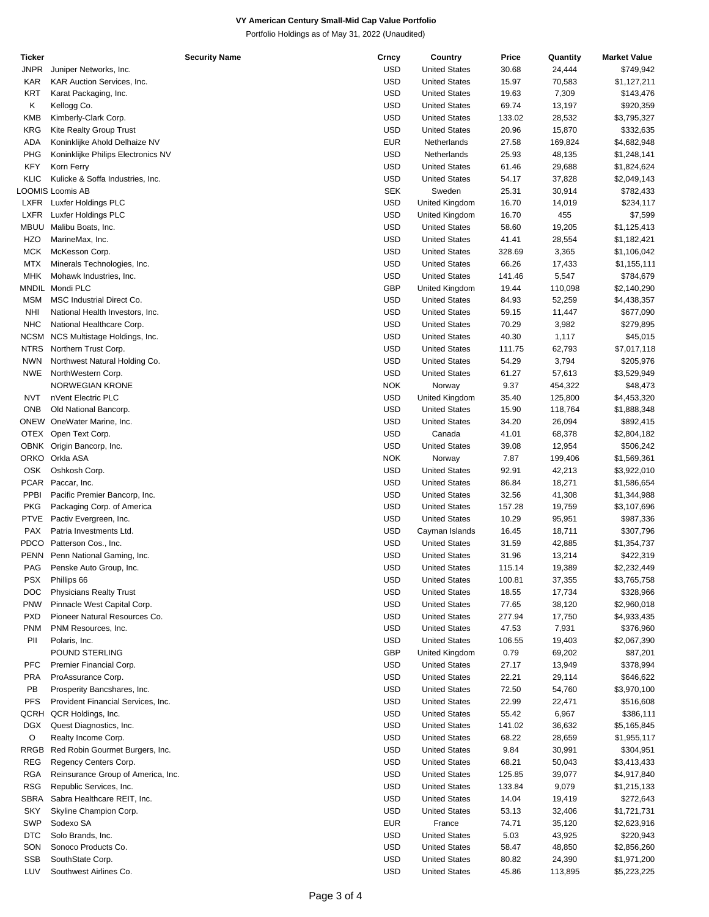Portfolio Holdings as of May 31, 2022 (Unaudited)

| <b>Ticker</b> | <b>Security Name</b>               | Crncy      | Country              | Price  | Quantity | <b>Market Value</b> |
|---------------|------------------------------------|------------|----------------------|--------|----------|---------------------|
| <b>JNPR</b>   | Juniper Networks, Inc.             | <b>USD</b> | <b>United States</b> | 30.68  | 24,444   | \$749,942           |
| <b>KAR</b>    | KAR Auction Services, Inc.         | <b>USD</b> | <b>United States</b> | 15.97  | 70,583   | \$1,127,211         |
| KRT           | Karat Packaging, Inc.              | <b>USD</b> | <b>United States</b> | 19.63  | 7,309    | \$143,476           |
| Κ             | Kellogg Co.                        | <b>USD</b> | <b>United States</b> | 69.74  | 13,197   | \$920,359           |
| KMB           | Kimberly-Clark Corp.               | <b>USD</b> | <b>United States</b> | 133.02 | 28,532   | \$3,795,327         |
| <b>KRG</b>    | Kite Realty Group Trust            | <b>USD</b> | <b>United States</b> | 20.96  | 15,870   | \$332,635           |
| ADA           | Koninklijke Ahold Delhaize NV      | <b>EUR</b> | Netherlands          | 27.58  | 169,824  | \$4,682,948         |
| PHG           | Koninklijke Philips Electronics NV | <b>USD</b> | Netherlands          | 25.93  | 48,135   | \$1,248,141         |
| KFY           | Korn Ferry                         | USD        | <b>United States</b> | 61.46  | 29,688   | \$1,824,624         |
| <b>KLIC</b>   | Kulicke & Soffa Industries, Inc.   | <b>USD</b> | <b>United States</b> | 54.17  | 37,828   |                     |
|               | <b>LOOMIS Loomis AB</b>            |            |                      |        |          | \$2,049,143         |
|               |                                    | <b>SEK</b> | Sweden               | 25.31  | 30,914   | \$782,433           |
| LXFR          | Luxfer Holdings PLC                | <b>USD</b> | United Kingdom       | 16.70  | 14,019   | \$234,117           |
| <b>LXFR</b>   | <b>Luxfer Holdings PLC</b>         | <b>USD</b> | United Kingdom       | 16.70  | 455      | \$7,599             |
| <b>MBUU</b>   | Malibu Boats, Inc.                 | <b>USD</b> | <b>United States</b> | 58.60  | 19,205   | \$1,125,413         |
| HZO           | MarineMax, Inc.                    | <b>USD</b> | <b>United States</b> | 41.41  | 28,554   | \$1,182,421         |
| <b>MCK</b>    | McKesson Corp.                     | <b>USD</b> | <b>United States</b> | 328.69 | 3,365    | \$1,106,042         |
| <b>MTX</b>    | Minerals Technologies, Inc.        | <b>USD</b> | <b>United States</b> | 66.26  | 17,433   | \$1,155,111         |
| MHK           | Mohawk Industries, Inc.            | <b>USD</b> | <b>United States</b> | 141.46 | 5,547    | \$784,679           |
| MNDIL         | Mondi PLC                          | <b>GBP</b> | United Kingdom       | 19.44  | 110,098  | \$2,140,290         |
| <b>MSM</b>    | MSC Industrial Direct Co.          | <b>USD</b> | <b>United States</b> | 84.93  | 52,259   | \$4,438,357         |
| <b>NHI</b>    | National Health Investors, Inc.    | <b>USD</b> | <b>United States</b> | 59.15  | 11,447   | \$677,090           |
| <b>NHC</b>    | National Healthcare Corp.          | <b>USD</b> | <b>United States</b> | 70.29  | 3,982    | \$279,895           |
| <b>NCSM</b>   | NCS Multistage Holdings, Inc.      | <b>USD</b> | <b>United States</b> | 40.30  | 1,117    | \$45,015            |
| <b>NTRS</b>   | Northern Trust Corp.               | <b>USD</b> | <b>United States</b> | 111.75 | 62,793   | \$7,017,118         |
| <b>NWN</b>    | Northwest Natural Holding Co.      | USD        | <b>United States</b> | 54.29  | 3,794    | \$205,976           |
|               |                                    |            |                      |        |          |                     |
| <b>NWE</b>    | NorthWestern Corp.                 | <b>USD</b> | <b>United States</b> | 61.27  | 57,613   | \$3,529,949         |
|               | NORWEGIAN KRONE                    | <b>NOK</b> | Norway               | 9.37   | 454,322  | \$48,473            |
| NVT           | nVent Electric PLC                 | <b>USD</b> | United Kingdom       | 35.40  | 125,800  | \$4,453,320         |
| <b>ONB</b>    | Old National Bancorp.              | USD        | <b>United States</b> | 15.90  | 118,764  | \$1,888,348         |
| ONEW          | OneWater Marine, Inc.              | <b>USD</b> | <b>United States</b> | 34.20  | 26,094   | \$892,415           |
| <b>OTEX</b>   | Open Text Corp.                    | <b>USD</b> | Canada               | 41.01  | 68,378   | \$2,804,182         |
|               | OBNK Origin Bancorp, Inc.          | <b>USD</b> | <b>United States</b> | 39.08  | 12,954   | \$506,242           |
|               | ORKO Orkla ASA                     | <b>NOK</b> | Norway               | 7.87   | 199,406  | \$1,569,361         |
| OSK           | Oshkosh Corp.                      | <b>USD</b> | <b>United States</b> | 92.91  | 42,213   | \$3,922,010         |
| <b>PCAR</b>   | Paccar, Inc.                       | <b>USD</b> | <b>United States</b> | 86.84  | 18,271   | \$1,586,654         |
| PPBI          | Pacific Premier Bancorp, Inc.      | <b>USD</b> | <b>United States</b> | 32.56  | 41,308   | \$1,344,988         |
| <b>PKG</b>    | Packaging Corp. of America         | <b>USD</b> | <b>United States</b> | 157.28 | 19,759   | \$3,107,696         |
| <b>PTVE</b>   | Pactiv Evergreen, Inc.             | <b>USD</b> | <b>United States</b> | 10.29  | 95,951   | \$987,336           |
| <b>PAX</b>    | Patria Investments Ltd.            | <b>USD</b> | Cayman Islands       | 16.45  | 18,711   | \$307,796           |
| <b>PDCO</b>   | Patterson Cos., Inc.               | <b>USD</b> | <b>United States</b> | 31.59  | 42,885   | \$1,354,737         |
|               |                                    |            |                      |        |          |                     |
| <b>PENN</b>   | Penn National Gaming, Inc.         | USD        | <b>United States</b> | 31.96  | 13,214   | \$422,319           |
| PAG           | Penske Auto Group, Inc.            | <b>USD</b> | <b>United States</b> | 115.14 | 19,389   | \$2,232,449         |
| PSX           | Phillips 66                        | <b>USD</b> | <b>United States</b> | 100.81 | 37,355   | \$3,765,758         |
| DOC           | <b>Physicians Realty Trust</b>     | <b>USD</b> | <b>United States</b> | 18.55  | 17,734   | \$328,966           |
| <b>PNW</b>    | Pinnacle West Capital Corp.        | <b>USD</b> | <b>United States</b> | 77.65  | 38,120   | \$2,960,018         |
| <b>PXD</b>    | Pioneer Natural Resources Co.      | <b>USD</b> | <b>United States</b> | 277.94 | 17,750   | \$4,933,435         |
| <b>PNM</b>    | PNM Resources, Inc.                | <b>USD</b> | <b>United States</b> | 47.53  | 7,931    | \$376,960           |
| PII           | Polaris, Inc.                      | <b>USD</b> | <b>United States</b> | 106.55 | 19,403   | \$2,067,390         |
|               | POUND STERLING                     | GBP        | United Kingdom       | 0.79   | 69,202   | \$87,201            |
| <b>PFC</b>    | Premier Financial Corp.            | <b>USD</b> | <b>United States</b> | 27.17  | 13,949   | \$378,994           |
| <b>PRA</b>    | ProAssurance Corp.                 | <b>USD</b> | <b>United States</b> | 22.21  | 29,114   | \$646,622           |
| PB            | Prosperity Bancshares, Inc.        | <b>USD</b> | <b>United States</b> | 72.50  | 54,760   | \$3,970,100         |
| <b>PFS</b>    | Provident Financial Services, Inc. | <b>USD</b> | <b>United States</b> | 22.99  | 22,471   | \$516,608           |
| QCRH          | QCR Holdings, Inc.                 | <b>USD</b> | <b>United States</b> | 55.42  | 6,967    | \$386,111           |
| <b>DGX</b>    | Quest Diagnostics, Inc.            | <b>USD</b> | <b>United States</b> | 141.02 | 36,632   | \$5,165,845         |
|               |                                    | <b>USD</b> | <b>United States</b> |        |          | \$1,955,117         |
| O             | Realty Income Corp.                |            |                      | 68.22  | 28,659   |                     |
| <b>RRGB</b>   | Red Robin Gourmet Burgers, Inc.    | <b>USD</b> | <b>United States</b> | 9.84   | 30,991   | \$304,951           |
| REG           | Regency Centers Corp.              | <b>USD</b> | <b>United States</b> | 68.21  | 50,043   | \$3,413,433         |
| RGA           | Reinsurance Group of America, Inc. | <b>USD</b> | <b>United States</b> | 125.85 | 39,077   | \$4,917,840         |
| <b>RSG</b>    | Republic Services, Inc.            | <b>USD</b> | <b>United States</b> | 133.84 | 9,079    | \$1,215,133         |
| SBRA          | Sabra Healthcare REIT, Inc.        | <b>USD</b> | <b>United States</b> | 14.04  | 19,419   | \$272,643           |
| <b>SKY</b>    | Skyline Champion Corp.             | <b>USD</b> | <b>United States</b> | 53.13  | 32,406   | \$1,721,731         |
| <b>SWP</b>    | Sodexo SA                          | <b>EUR</b> | France               | 74.71  | 35,120   | \$2,623,916         |
| <b>DTC</b>    | Solo Brands, Inc.                  | <b>USD</b> | <b>United States</b> | 5.03   | 43,925   | \$220,943           |
| SON           | Sonoco Products Co.                | <b>USD</b> | <b>United States</b> | 58.47  | 48,850   | \$2,856,260         |
| <b>SSB</b>    | SouthState Corp.                   | <b>USD</b> | <b>United States</b> | 80.82  | 24,390   | \$1,971,200         |
| LUV           | Southwest Airlines Co.             | <b>USD</b> | <b>United States</b> | 45.86  | 113,895  | \$5,223,225         |
|               |                                    |            |                      |        |          |                     |